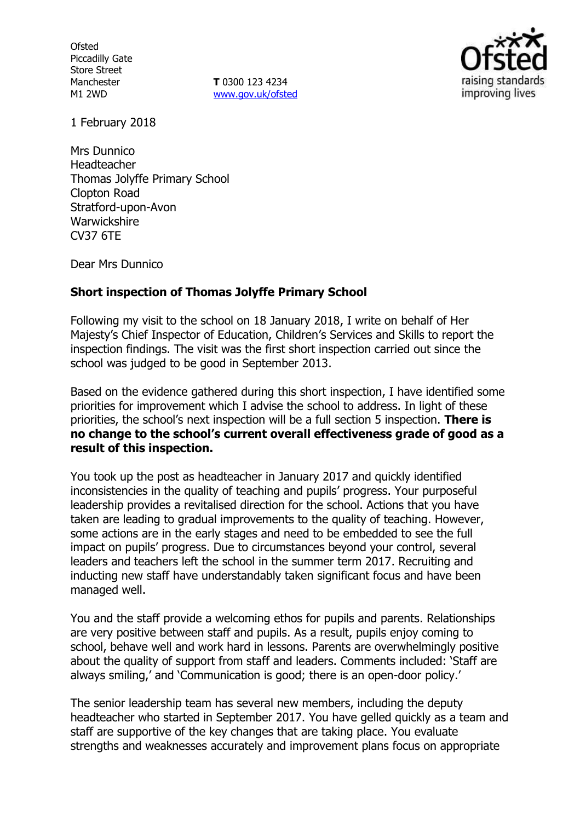**Ofsted** Piccadilly Gate Store Street Manchester M1 2WD

**T** 0300 123 4234 www.gov.uk/ofsted



1 February 2018

Mrs Dunnico Headteacher Thomas Jolyffe Primary School Clopton Road Stratford-upon-Avon **Warwickshire** CV37 6TE

Dear Mrs Dunnico

## **Short inspection of Thomas Jolyffe Primary School**

Following my visit to the school on 18 January 2018, I write on behalf of Her Majesty's Chief Inspector of Education, Children's Services and Skills to report the inspection findings. The visit was the first short inspection carried out since the school was judged to be good in September 2013.

Based on the evidence gathered during this short inspection, I have identified some priorities for improvement which I advise the school to address. In light of these priorities, the school's next inspection will be a full section 5 inspection. **There is no change to the school's current overall effectiveness grade of good as a result of this inspection.**

You took up the post as headteacher in January 2017 and quickly identified inconsistencies in the quality of teaching and pupils' progress. Your purposeful leadership provides a revitalised direction for the school. Actions that you have taken are leading to gradual improvements to the quality of teaching. However, some actions are in the early stages and need to be embedded to see the full impact on pupils' progress. Due to circumstances beyond your control, several leaders and teachers left the school in the summer term 2017. Recruiting and inducting new staff have understandably taken significant focus and have been managed well.

You and the staff provide a welcoming ethos for pupils and parents. Relationships are very positive between staff and pupils. As a result, pupils enjoy coming to school, behave well and work hard in lessons. Parents are overwhelmingly positive about the quality of support from staff and leaders. Comments included: 'Staff are always smiling,' and 'Communication is good; there is an open-door policy.'

The senior leadership team has several new members, including the deputy headteacher who started in September 2017. You have gelled quickly as a team and staff are supportive of the key changes that are taking place. You evaluate strengths and weaknesses accurately and improvement plans focus on appropriate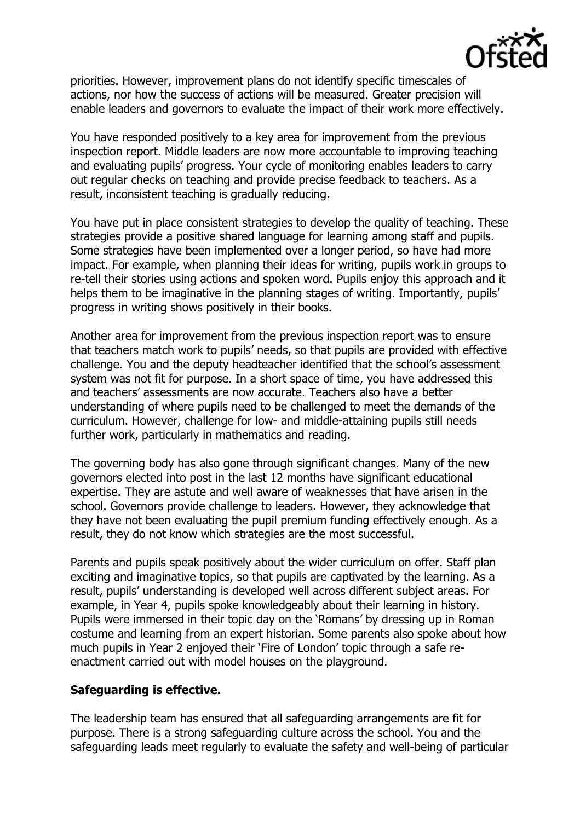

priorities. However, improvement plans do not identify specific timescales of actions, nor how the success of actions will be measured. Greater precision will enable leaders and governors to evaluate the impact of their work more effectively.

You have responded positively to a key area for improvement from the previous inspection report. Middle leaders are now more accountable to improving teaching and evaluating pupils' progress. Your cycle of monitoring enables leaders to carry out regular checks on teaching and provide precise feedback to teachers. As a result, inconsistent teaching is gradually reducing.

You have put in place consistent strategies to develop the quality of teaching. These strategies provide a positive shared language for learning among staff and pupils. Some strategies have been implemented over a longer period, so have had more impact. For example, when planning their ideas for writing, pupils work in groups to re-tell their stories using actions and spoken word. Pupils enjoy this approach and it helps them to be imaginative in the planning stages of writing. Importantly, pupils' progress in writing shows positively in their books.

Another area for improvement from the previous inspection report was to ensure that teachers match work to pupils' needs, so that pupils are provided with effective challenge. You and the deputy headteacher identified that the school's assessment system was not fit for purpose. In a short space of time, you have addressed this and teachers' assessments are now accurate. Teachers also have a better understanding of where pupils need to be challenged to meet the demands of the curriculum. However, challenge for low- and middle-attaining pupils still needs further work, particularly in mathematics and reading.

The governing body has also gone through significant changes. Many of the new governors elected into post in the last 12 months have significant educational expertise. They are astute and well aware of weaknesses that have arisen in the school. Governors provide challenge to leaders. However, they acknowledge that they have not been evaluating the pupil premium funding effectively enough. As a result, they do not know which strategies are the most successful.

Parents and pupils speak positively about the wider curriculum on offer. Staff plan exciting and imaginative topics, so that pupils are captivated by the learning. As a result, pupils' understanding is developed well across different subject areas. For example, in Year 4, pupils spoke knowledgeably about their learning in history. Pupils were immersed in their topic day on the 'Romans' by dressing up in Roman costume and learning from an expert historian. Some parents also spoke about how much pupils in Year 2 enjoyed their 'Fire of London' topic through a safe reenactment carried out with model houses on the playground.

## **Safeguarding is effective.**

The leadership team has ensured that all safeguarding arrangements are fit for purpose. There is a strong safeguarding culture across the school. You and the safeguarding leads meet regularly to evaluate the safety and well-being of particular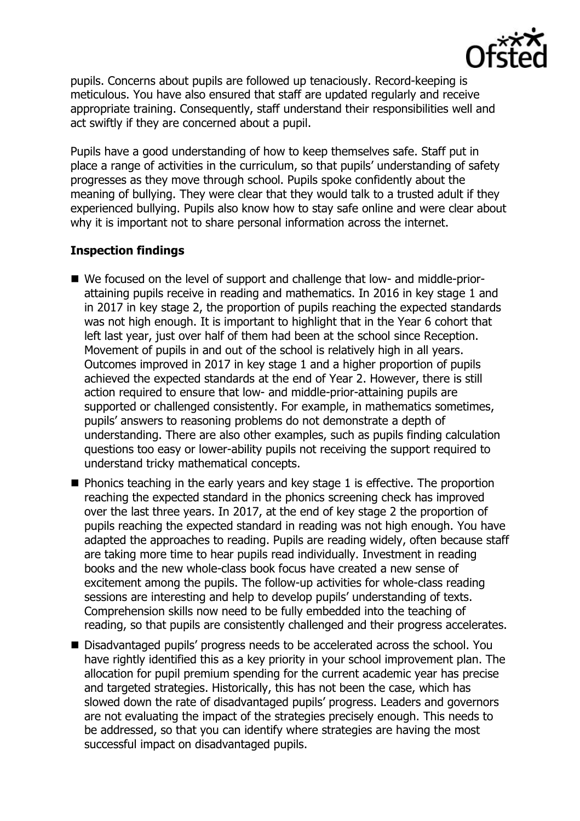

pupils. Concerns about pupils are followed up tenaciously. Record-keeping is meticulous. You have also ensured that staff are updated regularly and receive appropriate training. Consequently, staff understand their responsibilities well and act swiftly if they are concerned about a pupil.

Pupils have a good understanding of how to keep themselves safe. Staff put in place a range of activities in the curriculum, so that pupils' understanding of safety progresses as they move through school. Pupils spoke confidently about the meaning of bullying. They were clear that they would talk to a trusted adult if they experienced bullying. Pupils also know how to stay safe online and were clear about why it is important not to share personal information across the internet.

# **Inspection findings**

- We focused on the level of support and challenge that low- and middle-priorattaining pupils receive in reading and mathematics. In 2016 in key stage 1 and in 2017 in key stage 2, the proportion of pupils reaching the expected standards was not high enough. It is important to highlight that in the Year 6 cohort that left last year, just over half of them had been at the school since Reception. Movement of pupils in and out of the school is relatively high in all years. Outcomes improved in 2017 in key stage 1 and a higher proportion of pupils achieved the expected standards at the end of Year 2. However, there is still action required to ensure that low- and middle-prior-attaining pupils are supported or challenged consistently. For example, in mathematics sometimes, pupils' answers to reasoning problems do not demonstrate a depth of understanding. There are also other examples, such as pupils finding calculation questions too easy or lower-ability pupils not receiving the support required to understand tricky mathematical concepts.
- $\blacksquare$  Phonics teaching in the early years and key stage 1 is effective. The proportion reaching the expected standard in the phonics screening check has improved over the last three years. In 2017, at the end of key stage 2 the proportion of pupils reaching the expected standard in reading was not high enough. You have adapted the approaches to reading. Pupils are reading widely, often because staff are taking more time to hear pupils read individually. Investment in reading books and the new whole-class book focus have created a new sense of excitement among the pupils. The follow-up activities for whole-class reading sessions are interesting and help to develop pupils' understanding of texts. Comprehension skills now need to be fully embedded into the teaching of reading, so that pupils are consistently challenged and their progress accelerates.
- Disadvantaged pupils' progress needs to be accelerated across the school. You have rightly identified this as a key priority in your school improvement plan. The allocation for pupil premium spending for the current academic year has precise and targeted strategies. Historically, this has not been the case, which has slowed down the rate of disadvantaged pupils' progress. Leaders and governors are not evaluating the impact of the strategies precisely enough. This needs to be addressed, so that you can identify where strategies are having the most successful impact on disadvantaged pupils.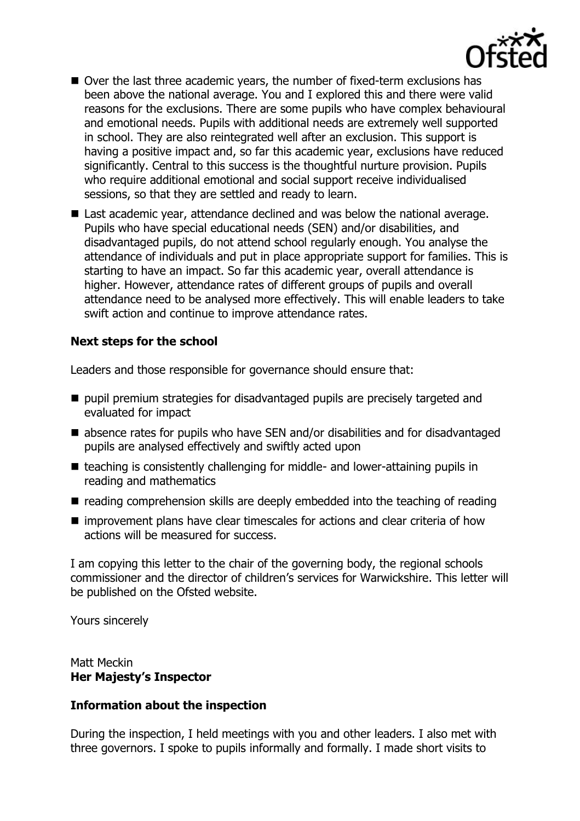

- Over the last three academic years, the number of fixed-term exclusions has been above the national average. You and I explored this and there were valid reasons for the exclusions. There are some pupils who have complex behavioural and emotional needs. Pupils with additional needs are extremely well supported in school. They are also reintegrated well after an exclusion. This support is having a positive impact and, so far this academic year, exclusions have reduced significantly. Central to this success is the thoughtful nurture provision. Pupils who require additional emotional and social support receive individualised sessions, so that they are settled and ready to learn.
- Last academic year, attendance declined and was below the national average. Pupils who have special educational needs (SEN) and/or disabilities, and disadvantaged pupils, do not attend school regularly enough. You analyse the attendance of individuals and put in place appropriate support for families. This is starting to have an impact. So far this academic year, overall attendance is higher. However, attendance rates of different groups of pupils and overall attendance need to be analysed more effectively. This will enable leaders to take swift action and continue to improve attendance rates.

## **Next steps for the school**

Leaders and those responsible for governance should ensure that:

- pupil premium strategies for disadvantaged pupils are precisely targeted and evaluated for impact
- absence rates for pupils who have SEN and/or disabilities and for disadvantaged pupils are analysed effectively and swiftly acted upon
- teaching is consistently challenging for middle- and lower-attaining pupils in reading and mathematics
- $\blacksquare$  reading comprehension skills are deeply embedded into the teaching of reading
- improvement plans have clear timescales for actions and clear criteria of how actions will be measured for success.

I am copying this letter to the chair of the governing body, the regional schools commissioner and the director of children's services for Warwickshire. This letter will be published on the Ofsted website.

Yours sincerely

Matt Meckin **Her Majesty's Inspector**

## **Information about the inspection**

During the inspection, I held meetings with you and other leaders. I also met with three governors. I spoke to pupils informally and formally. I made short visits to